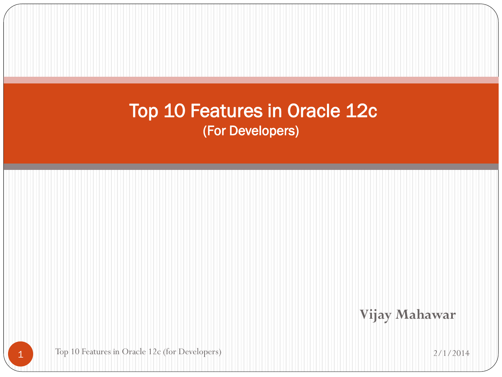**Vijay Mahawar**

Top 10 Features in Oracle 12c (for Developers) 2/1/2014

1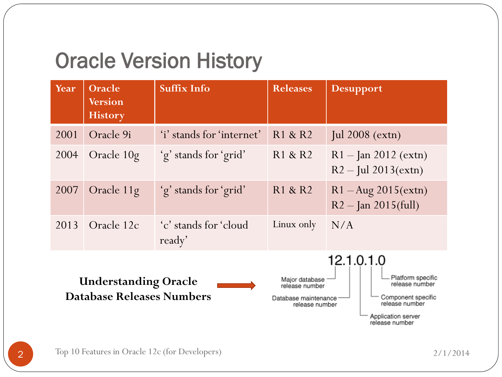#### Oracle Version History

| Year | Oracle<br><b>Version</b><br><b>History</b>                      | <b>Suffix Info</b>              | <b>Releases</b>                                                            | <b>Desupport</b>                                                                                                                  |
|------|-----------------------------------------------------------------|---------------------------------|----------------------------------------------------------------------------|-----------------------------------------------------------------------------------------------------------------------------------|
| 2001 | Oracle 9i                                                       | 'i' stands for 'internet'       | R1 & R2                                                                    | Jul $2008$ (extn)                                                                                                                 |
| 2004 | Oracle 10g                                                      | 'g' stands for 'grid'           | R1 & R2                                                                    | $R1 - \text{Jan } 2012 \text{ (extn)}$<br>$R2 - \text{Jul } 2013 \text{(extn)}$                                                   |
| 2007 | Oracle 11g                                                      | 'g' stands for 'grid'           | R1 & R2                                                                    | $R1 - Aug\ 2015(extn)$<br>$R2 - \text{Jan } 2015 \text{(full)}$                                                                   |
| 2013 | Oracle 12c                                                      | 'c' stands for 'cloud<br>ready' | Linux only                                                                 | N/A                                                                                                                               |
|      | <b>Understanding Oracle</b><br><b>Database Releases Numbers</b> |                                 | Major database<br>release number<br>Database maintenance<br>release number | 12.1.0.1.0<br>Platform specific<br>release number<br>Component specific<br>release number<br>Application server<br>release number |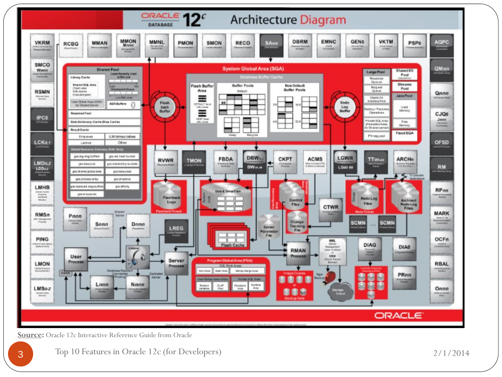

**Source:** Oracle 12c Interactive Reference Guide from Oracle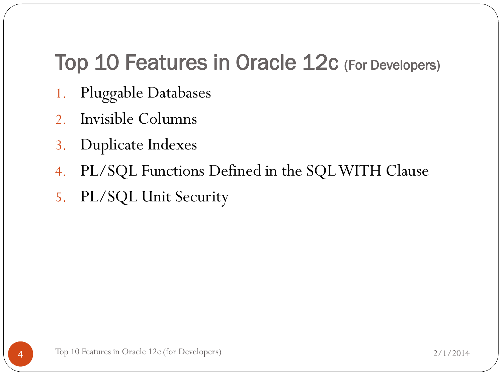- 1. Pluggable Databases
- 2. Invisible Columns
- 3. Duplicate Indexes
- 4. PL/SQL Functions Defined in the SQL WITH Clause
- 5. PL/SQL Unit Security

4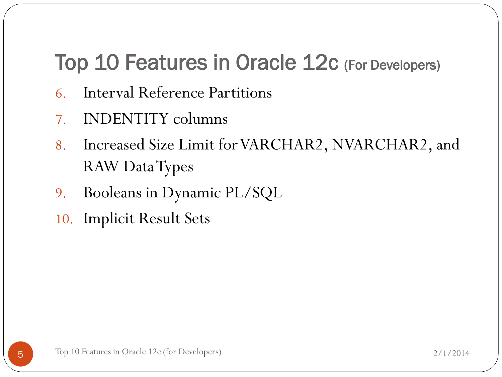- 6. Interval Reference Partitions
- 7. INDENTITY columns
- 8. Increased Size Limit for VARCHAR2, NVARCHAR2, and RAW Data Types
- 9. Booleans in Dynamic PL/SQL
- 10. Implicit Result Sets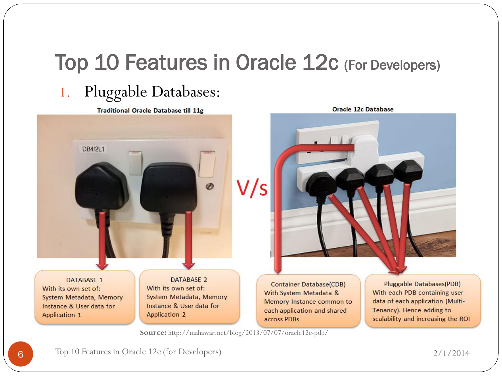#### 1. Pluggable Databases:

**Traditional Oracle Database till 11g** 



Oracle 12c Database

**Container Database(CDB)** With System Metadata & Memory Instance common to each application and shared across PDBs

**Pluggable Databases(PDB)** With each PDB containing user data of each application (Multi-Tenancy). Hence adding to scalability and increasing the ROI

**Source:** http://mahawar.net/blog/2013/07/07/oracle12c-pdb/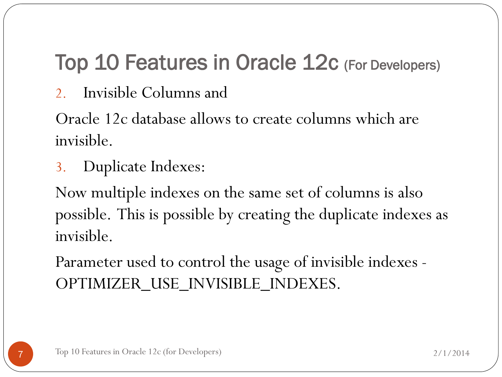2. Invisible Columns and

Oracle 12c database allows to create columns which are invisible.

3. Duplicate Indexes:

Now multiple indexes on the same set of columns is also possible. This is possible by creating the duplicate indexes as invisible.

Parameter used to control the usage of invisible indexes - OPTIMIZER\_USE\_INVISIBLE\_INDEXES.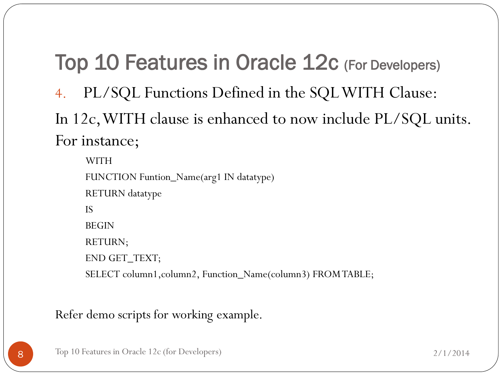4. PL/SQL Functions Defined in the SQL WITH Clause:

In 12c, WITH clause is enhanced to now include PL/SQL units. For instance;

WITH FUNCTION Funtion\_Name(arg1 IN datatype) RETURN datatype IS BEGIN RETURN; END GET\_TEXT; SELECT column1, column2, Function\_Name(column3) FROM TABLE;

Refer demo scripts for working example.

8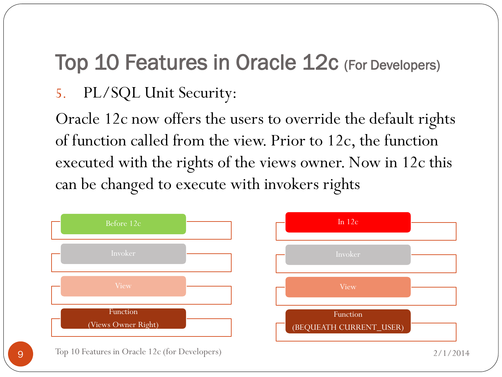#### 5. PL/SQL Unit Security:

Oracle 12c now offers the users to override the default rights of function called from the view. Prior to 12c, the function executed with the rights of the views owner. Now in 12c this can be changed to execute with invokers rights

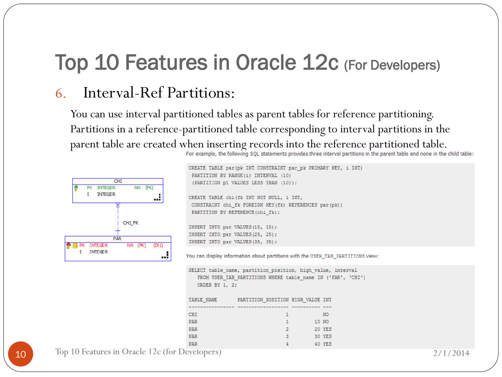#### 6. Interval-Ref Partitions:

You can use interval partitioned tables as parent tables for reference partitioning. Partitions in a reference-partitioned table corresponding to interval partitions in the parent table are created when inserting records into the reference partitioned table.<br>For example, the following SQL statements provides three interval partitions in the parent table and none in the child table:



```
CREATE TABLE par (pk INT CONSTRAINT par pk PRIMARY KEY, i INT)
 PARTITION BY RANGE (i) INTERVAL (10)
  (PARTITION p1 VALUES LESS THAN (10));
 CREATE TABLE chi(fk INT NOT NULL, i INT,
 CONSTRAINT chi_fk FOREIGN KEY(fk) REFERENCES par(pk))
 PARTITION BY REFERENCE (chi fk) ;
 INSERT INTO par VALUES (15, 15);
 INSERT INTO par VALUES (25, 25);
INSERT INTO par VALUES (35, 35);
You can display information about partitions with the USER TAB PARTITIONS view:
SELECT table_name, partition_position, high_value, interval
    FROM USER TAB PARTITIONS WHERE table name IN ('PAR', 'CHI')
    ORDER BY 1, 2;
TABLE NAME
                  PARTITION POSITION HIGH VALUE INT
 CHI
                                      \mathbf{1}NO
 PAR
                                      \mathbf{1}10 NO
 PAR
                                      \overline{2}20 YES
PAR
                                      \overline{3}30 YES
PAR
                                                 40 YES
```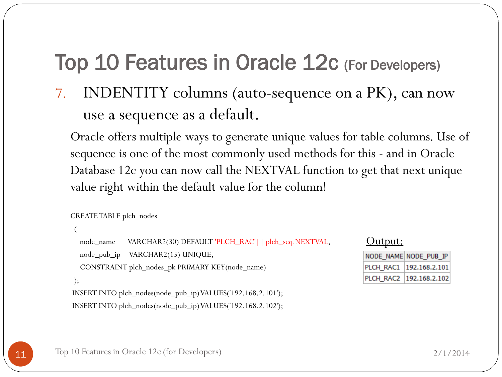7. INDENTITY columns (auto-sequence on a PK), can now use a sequence as a default.

Oracle offers multiple ways to generate unique values for table columns. Use of sequence is one of the most commonly used methods for this - and in Oracle Database 12c you can now call the NEXTVAL function to get that next unique value right within the default value for the column!

```
CREATE TABLE plch_nodes
```
(

```
node_name VARCHAR2(30) DEFAULT 'PLCH_RAC'|| plch_seq.NEXTVAL,
```
node\_pub\_ip VARCHAR2(15) UNIQUE,

CONSTRAINT plch\_nodes\_pk PRIMARY KEY(node\_name)

```
);
```
INSERT INTO plch\_nodes(node\_pub\_ip) VALUES('192.168.2.101'); INSERT INTO plch\_nodes(node\_pub\_ip) VALUES('192.168.2.102');

#### Output:

| NODE_NAME NODE_PUB_IP     |
|---------------------------|
| PLCH_RAC1   192.168.2.101 |
| PLCH_RAC2   192.168.2.102 |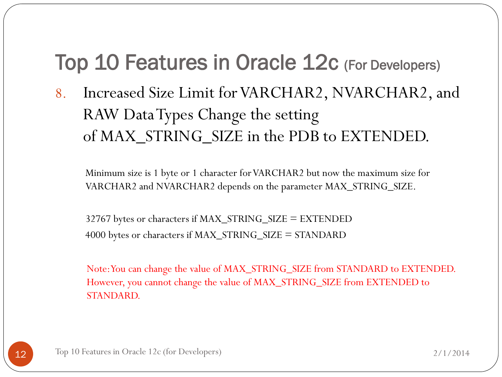8. Increased Size Limit for VARCHAR2, NVARCHAR2, and RAW Data Types Change the setting of MAX\_STRING\_SIZE in the PDB to EXTENDED.

Minimum size is 1 byte or 1 character for VARCHAR2 but now the maximum size for VARCHAR2 and NVARCHAR2 depends on the parameter MAX\_STRING\_SIZE.

32767 bytes or characters if MAX\_STRING\_SIZE = EXTENDED 4000 bytes or characters if MAX\_STRING\_SIZE = STANDARD

Note: You can change the value of MAX\_STRING\_SIZE from STANDARD to EXTENDED. However, you cannot change the value of MAX\_STRING\_SIZE from EXTENDED to STANDARD.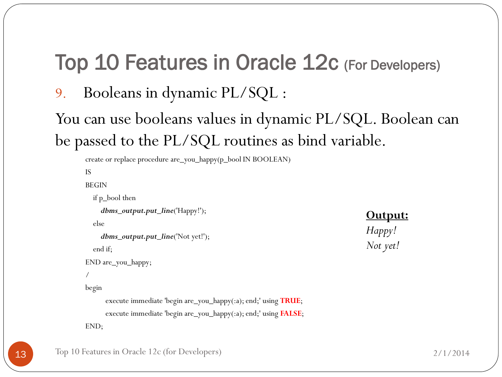9. Booleans in dynamic PL/SQL :

You can use booleans values in dynamic PL/SQL. Boolean can be passed to the PL/SQL routines as bind variable.

```
create or replace procedure are_you_happy(p_bool IN BOOLEAN)
IS
BEGIN
  if p_bool then
    dbms_output.put_line('Happy!');
  else
    dbms_output.put_line('Not yet!');
  end if;
END are_you_happy;
/
begin
      execute immediate 'begin are_you_happy(:a); end;' using TRUE;
      execute immediate 'begin are_you_happy(:a); end;' using FALSE;
END;
```
#### **Output:**

```
Happy!
Not yet!
```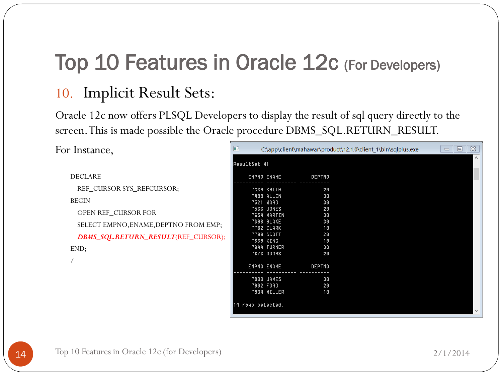#### 10. Implicit Result Sets:

Oracle 12c now offers PLSQL Developers to display the result of sql query directly to the screen. This is made possible the Oracle procedure DBMS\_SQL.RETURN\_RESULT.

C:\app\client\mahawar\product\12.1.0\client\_1\bin\sqlplus.exe

For Instance,

| <b>DECLARE</b>                        |                   | <b>EMPNO ENAME</b> | DEPTNO        |
|---------------------------------------|-------------------|--------------------|---------------|
| REF CURSOR SYS REFCURSOR:             |                   | 7369 SMITH         | 20            |
|                                       |                   | 7499 ALLEN         | 30            |
| <b>BEGIN</b>                          |                   | 7521 WARD          | 30            |
|                                       |                   | 7566 JONES         | 20            |
| <b>OPEN REF CURSOR FOR</b>            |                   | 7654 MARTIN        | 30            |
| SELECT EMPNO, ENAME, DEPTNO FROM EMP; |                   | 7698 BLAKE         | 30            |
|                                       |                   | 7782 CLARK         | 10            |
| DBMS_SQL.RETURN_RESULT(REF_CURSOR);   |                   | 7788 SCOTT         | 20            |
|                                       |                   | 7839 KING          | 10            |
| END;                                  |                   | 7844 TURNER        | 30            |
|                                       |                   | 7876 ADAMS         | -20           |
|                                       |                   | EMPNO ENAME        | <b>DEPTNO</b> |
|                                       |                   |                    |               |
|                                       |                   | 7900 JAMES         | 30            |
|                                       |                   | 7902 FORD          | 20            |
|                                       |                   | 7934 MILLER        | 10            |
|                                       | 14 rows selected. |                    |               |

 $\begin{array}{c|c|c|c|c} \hline \textbf{m} & \textbf{m} & \textbf{m} \end{array}$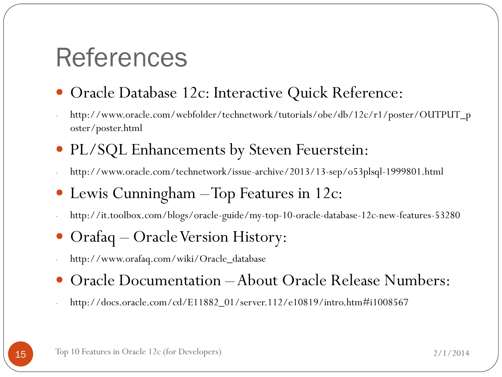### References

- Oracle Database 12c: Interactive Quick Reference:
- http://www.oracle.com/webfolder/technetwork/tutorials/obe/db/12c/r1/poster/OUTPUT\_p oster/poster.html
- PL/SQL Enhancements by Steven Feuerstein:
- http://www.oracle.com/technetwork/issue-archive/2013/13-sep/o53plsql-1999801.html
- Lewis Cunningham Top Features in 12c:
- http://it.toolbox.com/blogs/oracle-guide/my-top-10-oracle-database-12c-new-features-53280
- Orafaq Oracle Version History:
- http://www.orafaq.com/wiki/Oracle\_database
- Oracle Documentation About Oracle Release Numbers:
- http://docs.oracle.com/cd/E11882\_01/server.112/e10819/intro.htm#i1008567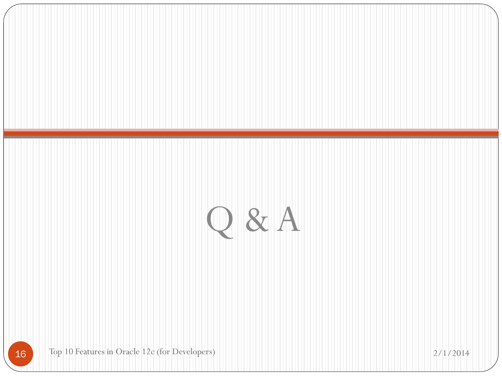# Q & A